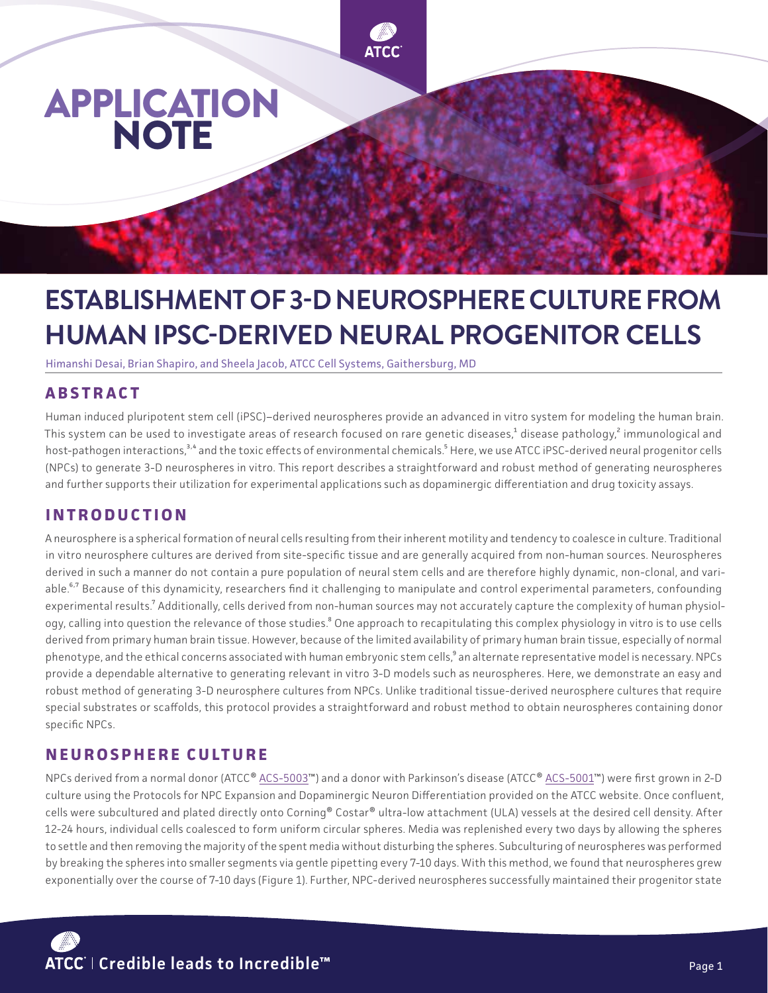

# **ESTABLISHMENT OF 3-D NEUROSPHERE CULTURE FROM HUMAN IPSC-DERIVED NEURAL PROGENITOR CELLS**

Himanshi Desai, Brian Shapiro, and Sheela Jacob, ATCC Cell Systems, Gaithersburg, MD

# **ABSTRACT**

Human induced pluripotent stem cell (iPSC)–derived neurospheres provide an advanced in vitro system for modeling the human brain. This system can be used to investigate areas of research focused on rare genetic diseases,<sup>1</sup> disease pathology,<sup>2</sup> immunological and host-pathogen interactions,<sup>3,4</sup> and the toxic effects of environmental chemicals.<sup>5</sup> Here, we use ATCC iPSC-derived neural progenitor cells (NPCs) to generate 3-D neurospheres in vitro. This report describes a straightforward and robust method of generating neurospheres and further supports their utilization for experimental applications such as dopaminergic differentiation and drug toxicity assays.

### **INTRODUCTION**

A neurosphere is a spherical formation of neural cells resulting from their inherent motility and tendency to coalesce in culture. Traditional in vitro neurosphere cultures are derived from site-specific tissue and are generally acquired from non-human sources. Neurospheres derived in such a manner do not contain a pure population of neural stem cells and are therefore highly dynamic, non-clonal, and variable.<sup>6,7</sup> Because of this dynamicity, researchers find it challenging to manipulate and control experimental parameters, confounding experimental results.<sup>7</sup> Additionally, cells derived from non-human sources may not accurately capture the complexity of human physiology, calling into question the relevance of those studies.<sup>8</sup> One approach to recapitulating this complex physiology in vitro is to use cells derived from primary human brain tissue. However, because of the limited availability of primary human brain tissue, especially of normal phenotype, and the ethical concerns associated with human embryonic stem cells,<sup>9</sup> an alternate representative model is necessary. NPCs provide a dependable alternative to generating relevant in vitro 3-D models such as neurospheres. Here, we demonstrate an easy and robust method of generating 3-D neurosphere cultures from NPCs. Unlike traditional tissue-derived neurosphere cultures that require special substrates or scaffolds, this protocol provides a straightforward and robust method to obtain neurospheres containing donor specific NPCs.

### **NEUROSPHERE CULTURE**

NPCs derived from a normal donor (ATCC® [ACS-5003™](https://www.atcc.org/products/ACS-5003)) and a donor with Parkinson's disease (ATCC® [ACS-5001™](https://www.atcc.org/products/acs-5001)) were first grown in 2-D culture using the Protocols for NPC Expansion and Dopaminergic Neuron Differentiation provided on the ATCC website. Once confluent, cells were subcultured and plated directly onto Corning® Costar® ultra-low attachment (ULA) vessels at the desired cell density. After 12-24 hours, individual cells coalesced to form uniform circular spheres. Media was replenished every two days by allowing the spheres to settle and then removing the majority of the spent media without disturbing the spheres. Subculturing of neurospheres was performed by breaking the spheres into smaller segments via gentle pipetting every 7-10 days. With this method, we found that neurospheres grew exponentially over the course of 7-10 days (Figure 1). Further, NPC-derived neurospheres successfully maintained their progenitor state

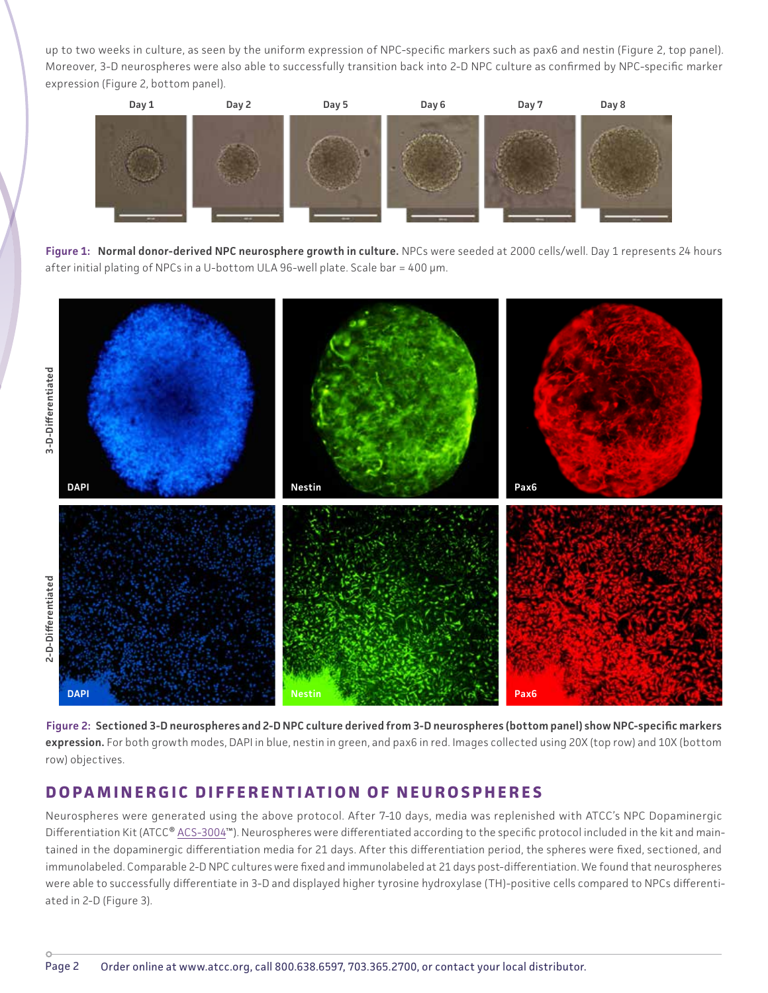up to two weeks in culture, as seen by the uniform expression of NPC-specific markers such as pax6 and nestin (Figure 2, top panel). Moreover, 3-D neurospheres were also able to successfully transition back into 2-D NPC culture as confirmed by NPC-specific marker expression (Figure 2, bottom panel).



**Figure 1: Normal donor-derived NPC neurosphere growth in culture.** NPCs were seeded at 2000 cells/well. Day 1 represents 24 hours after initial plating of NPCs in a U-bottom ULA 96-well plate. Scale bar = 400 µm.



**Figure 2: Sectioned 3-D neurospheres and 2-D NPC culture derived from 3-D neurospheres (bottom panel) show NPC-specific markers**  expression. For both growth modes, DAPI in blue, nestin in green, and pax6 in red. Images collected using 20X (top row) and 10X (bottom row) objectives.

#### **DOPAMINERGIC DIFFERENTIATION OF NEUROSPHERES**

Neurospheres were generated using the above protocol. After 7-10 days, media was replenished with ATCC's NPC Dopaminergic Differentiation Kit (ATCC® [ACS-3004](https://www.atcc.org/products/acs-3004)™). Neurospheres were differentiated according to the specific protocol included in the kit and maintained in the dopaminergic differentiation media for 21 days. After this differentiation period, the spheres were fixed, sectioned, and immunolabeled. Comparable 2-D NPC cultures were fixed and immunolabeled at 21 days post-differentiation. We found that neurospheres were able to successfully differentiate in 3-D and displayed higher tyrosine hydroxylase (TH)-positive cells compared to NPCs differentiated in 2-D (Figure 3).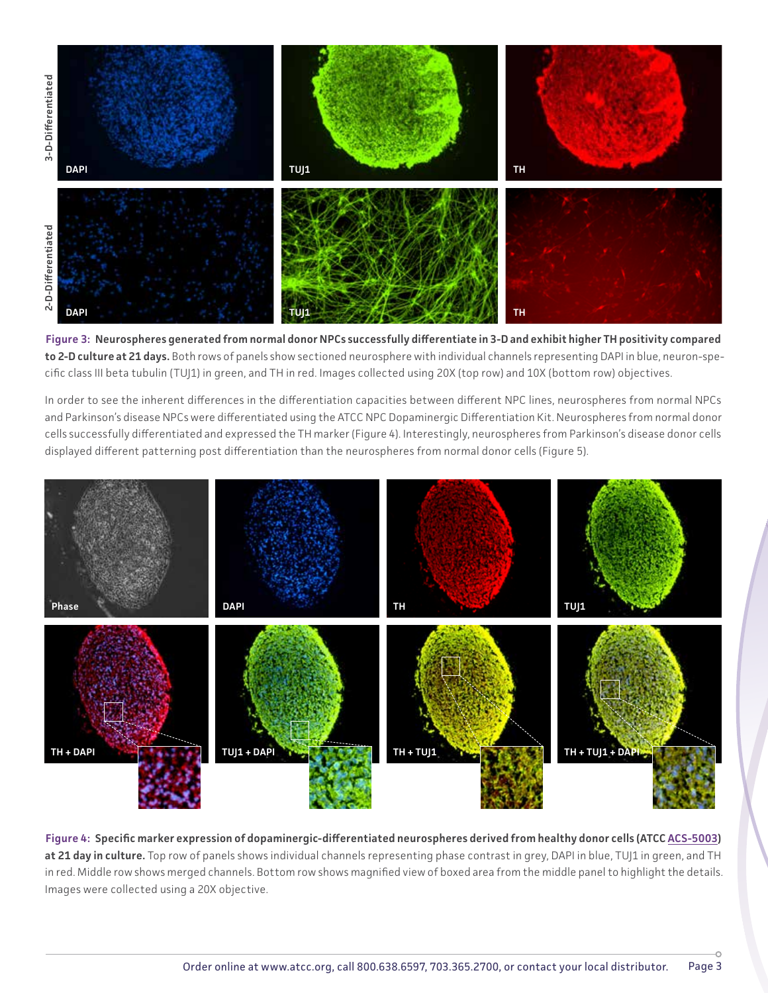

**Figure 3: Neurospheres generated from normal donor NPCs successfully differentiate in 3-D and exhibit higher TH positivity compared to 2-D culture at 21 days.** Both rows of panels show sectioned neurosphere with individual channels representing DAPI in blue, neuron-specific class III beta tubulin (TUJ1) in green, and TH in red. Images collected using 20X (top row) and 10X (bottom row) objectives.

In order to see the inherent differences in the differentiation capacities between different NPC lines, neurospheres from normal NPCs and Parkinson's disease NPCs were differentiated using the ATCC NPC Dopaminergic Differentiation Kit. Neurospheres from normal donor cells successfully differentiated and expressed the TH marker (Figure 4). Interestingly, neurospheres from Parkinson's disease donor cells displayed different patterning post differentiation than the neurospheres from normal donor cells (Figure 5).



**Figure 4: Specific marker expression of dopaminergic-differentiated neurospheres derived from healthy donor cells (ATCC [ACS-5003](https://www.atcc.org/products/acs-5003))**  at 21 day in culture. Top row of panels shows individual channels representing phase contrast in grey, DAPI in blue, TUJ1 in green, and TH in red. Middle row shows merged channels. Bottom row shows magnified view of boxed area from the middle panel to highlight the details. Images were collected using a 20X objective.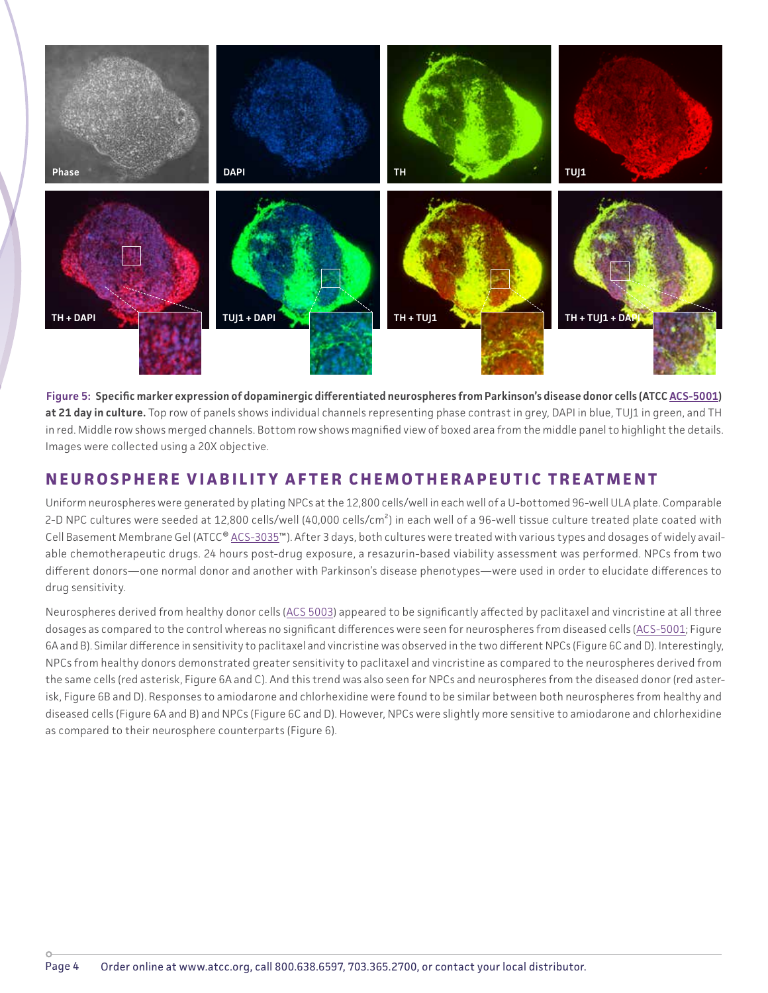

**Figure 5: Specific marker expression of dopaminergic differentiated neurospheres from Parkinson's disease donor cells (ATCC [ACS-5001\)](https://www.atcc.org/products/acs-5001)**  at 21 day in culture. Top row of panels shows individual channels representing phase contrast in grey, DAPI in blue, TUJ1 in green, and TH in red. Middle row shows merged channels. Bottom row shows magnified view of boxed area from the middle panel to highlight the details. Images were collected using a 20X objective.

#### **NEUROSPHERE VIABILITY AFTER CHEMOTHERAPEUTIC TREATMENT**

Uniform neurospheres were generated by plating NPCs at the 12,800 cells/well in each well of a U-bottomed 96-well ULA plate. Comparable 2-D NPC cultures were seeded at 12,800 cells/well (40,000 cells/cm<sup>2</sup>) in each well of a 96-well tissue culture treated plate coated with Cell Basement Membrane Gel (ATCC® [ACS-3035™](https://www.atcc.org/products/ACS-3035)). After 3 days, both cultures were treated with various types and dosages of widely available chemotherapeutic drugs. 24 hours post-drug exposure, a resazurin-based viability assessment was performed. NPCs from two different donors—one normal donor and another with Parkinson's disease phenotypes—were used in order to elucidate differences to drug sensitivity.

Neurospheres derived from healthy donor cells [\(ACS 5003\)](https://www.atcc.org/products/acs-5003) appeared to be significantly affected by paclitaxel and vincristine at all three dosages as compared to the control whereas no significant differences were seen for neurospheres from diseased cells ([ACS-5001;](https://www.atcc.org/products/acs-5001) Figure 6A and B). Similar difference in sensitivity to paclitaxel and vincristine was observed in the two different NPCs (Figure 6C and D). Interestingly, NPCs from healthy donors demonstrated greater sensitivity to paclitaxel and vincristine as compared to the neurospheres derived from the same cells (red asterisk, Figure 6A and C). And this trend was also seen for NPCs and neurospheres from the diseased donor (red asterisk, Figure 6B and D). Responses to amiodarone and chlorhexidine were found to be similar between both neurospheres from healthy and diseased cells (Figure 6A and B) and NPCs (Figure 6C and D). However, NPCs were slightly more sensitive to amiodarone and chlorhexidine as compared to their neurosphere counterparts (Figure 6).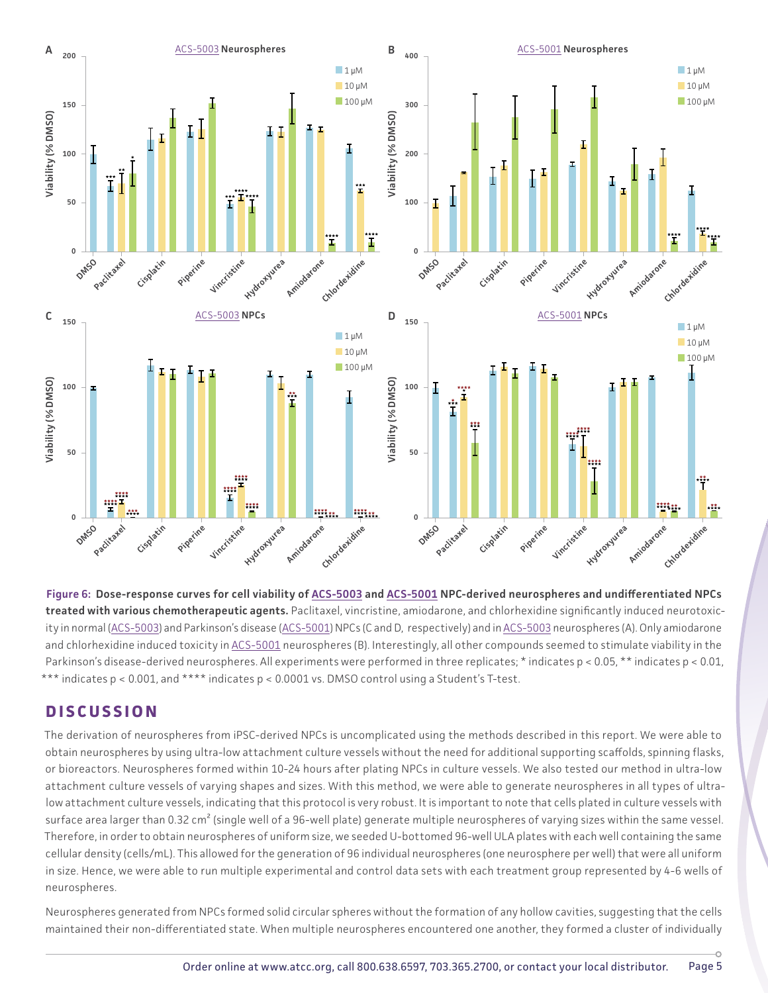

**Figure 6: Dose-response curves for cell viability of [ACS-5003](http://ACS-5001) and [ACS-5001](https://www.atcc.org/products/acs-5001) NPC-derived neurospheres and undifferentiated NPCs treated with various chemotherapeutic agents.** Paclitaxel, vincristine, amiodarone, and chlorhexidine significantly induced neurotoxic-ity in normal ([ACS-5003](https://www.atcc.org/products/acs-5003)) and Parkinson's disease [\(ACS-5001\)](https://www.atcc.org/products/acs-5001) NPCs (C and D, respectively) and in ACS-5003 neurospheres (A). Only amiodarone and chlorhexidine induced toxicity in [ACS-5001](https://www.atcc.org/products/acs-5001) neurospheres (B). Interestingly, all other compounds seemed to stimulate viability in the Parkinson's disease-derived neurospheres. All experiments were performed in three replicates; \* indicates p < 0.05, \*\* indicates p < 0.01, \*\*\* indicates p < 0.001, and \*\*\*\* indicates p < 0.0001 vs. DMSO control using a Student's T-test.

### **DISCUSSION**

The derivation of neurospheres from iPSC-derived NPCs is uncomplicated using the methods described in this report. We were able to obtain neurospheres by using ultra-low attachment culture vessels without the need for additional supporting scaffolds, spinning flasks, or bioreactors. Neurospheres formed within 10-24 hours after plating NPCs in culture vessels. We also tested our method in ultra-low attachment culture vessels of varying shapes and sizes. With this method, we were able to generate neurospheres in all types of ultralow attachment culture vessels, indicating that this protocol is very robust. It is important to note that cells plated in culture vessels with surface area larger than 0.32 cm<sup>2</sup> (single well of a 96-well plate) generate multiple neurospheres of varying sizes within the same vessel. Therefore, in order to obtain neurospheres of uniform size, we seeded U-bottomed 96-well ULA plates with each well containing the same cellular density (cells/mL). This allowed for the generation of 96 individual neurospheres (one neurosphere per well) that were all uniform in size. Hence, we were able to run multiple experimental and control data sets with each treatment group represented by 4-6 wells of neurospheres.

Neurospheres generated from NPCs formed solid circular spheres without the formation of any hollow cavities, suggesting that the cells maintained their non-differentiated state. When multiple neurospheres encountered one another, they formed a cluster of individually

ö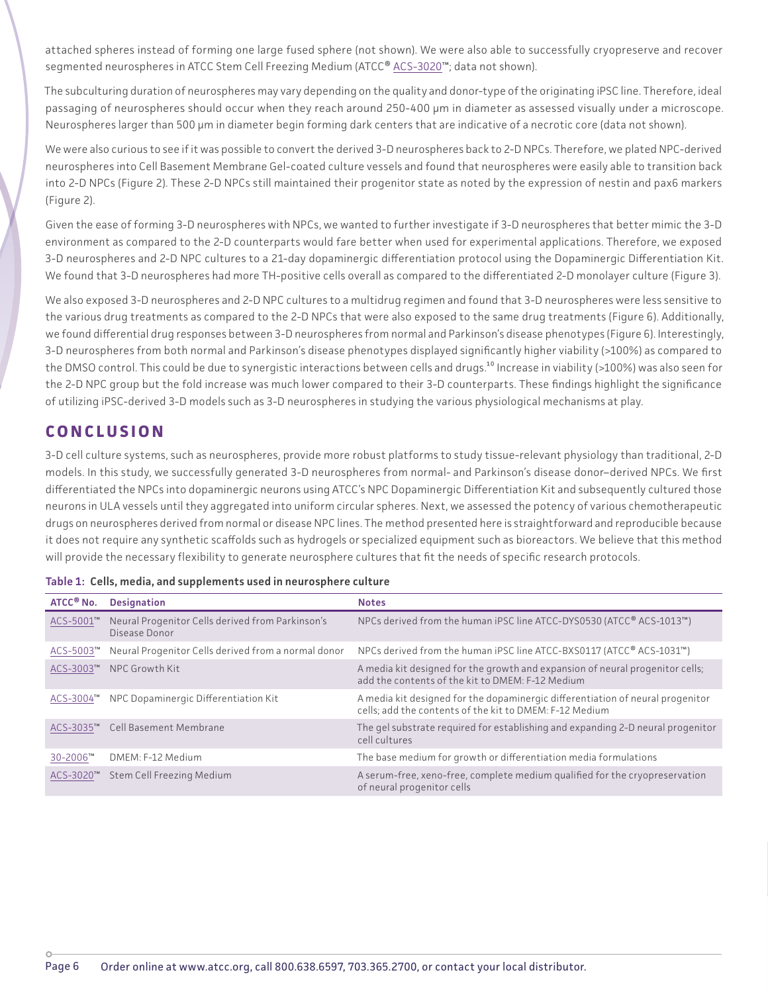attached spheres instead of forming one large fused sphere (not shown). We were also able to successfully cryopreserve and recover segmented neurospheres in ATCC Stem Cell Freezing Medium (ATCC® [ACS-3020™](https://www.atcc.org/products/ACS-3020); data not shown).

The subculturing duration of neurospheres may vary depending on the quality and donor-type of the originating iPSC line. Therefore, ideal passaging of neurospheres should occur when they reach around 250-400 µm in diameter as assessed visually under a microscope. Neurospheres larger than 500 µm in diameter begin forming dark centers that are indicative of a necrotic core (data not shown).

We were also curious to see if it was possible to convert the derived 3-D neurospheres back to 2-D NPCs. Therefore, we plated NPC-derived neurospheres into Cell Basement Membrane Gel-coated culture vessels and found that neurospheres were easily able to transition back into 2-D NPCs (Figure 2). These 2-D NPCs still maintained their progenitor state as noted by the expression of nestin and pax6 markers (Figure 2).

Given the ease of forming 3-D neurospheres with NPCs, we wanted to further investigate if 3-D neurospheres that better mimic the 3-D environment as compared to the 2-D counterparts would fare better when used for experimental applications. Therefore, we exposed 3-D neurospheres and 2-D NPC cultures to a 21-day dopaminergic differentiation protocol using the Dopaminergic Differentiation Kit. We found that 3-D neurospheres had more TH-positive cells overall as compared to the differentiated 2-D monolayer culture (Figure 3).

We also exposed 3-D neurospheres and 2-D NPC cultures to a multidrug regimen and found that 3-D neurospheres were less sensitive to the various drug treatments as compared to the 2-D NPCs that were also exposed to the same drug treatments (Figure 6). Additionally, we found differential drug responses between 3-D neurospheres from normal and Parkinson's disease phenotypes (Figure 6). Interestingly, 3-D neurospheres from both normal and Parkinson's disease phenotypes displayed significantly higher viability (>100%) as compared to the DMSO control. This could be due to synergistic interactions between cells and drugs.<sup>10</sup> Increase in viability (>100%) was also seen for the 2-D NPC group but the fold increase was much lower compared to their 3-D counterparts. These findings highlight the significance of utilizing iPSC-derived 3-D models such as 3-D neurospheres in studying the various physiological mechanisms at play.

# **CONCLUSION**

3-D cell culture systems, such as neurospheres, provide more robust platforms to study tissue-relevant physiology than traditional, 2-D models. In this study, we successfully generated 3-D neurospheres from normal- and Parkinson's disease donor–derived NPCs. We first differentiated the NPCs into dopaminergic neurons using ATCC's NPC Dopaminergic Differentiation Kit and subsequently cultured those neurons in ULA vessels until they aggregated into uniform circular spheres. Next, we assessed the potency of various chemotherapeutic drugs on neurospheres derived from normal or disease NPC lines. The method presented here is straightforward and reproducible because it does not require any synthetic scaffolds such as hydrogels or specialized equipment such as bioreactors. We believe that this method will provide the necessary flexibility to generate neurosphere cultures that fit the needs of specific research protocols.

| ATCC <sup>®</sup> No. | <b>Designation</b>                                                | <b>Notes</b>                                                                                                                              |
|-----------------------|-------------------------------------------------------------------|-------------------------------------------------------------------------------------------------------------------------------------------|
| ACS-5001"             | Neural Progenitor Cells derived from Parkinson's<br>Disease Donor | NPCs derived from the human iPSC line ATCC-DYS0530 (ATCC® ACS-1013™)                                                                      |
| ACS-5003™             | Neural Progenitor Cells derived from a normal donor               | NPCs derived from the human iPSC line ATCC-BXS0117 (ATCC® ACS-1031™)                                                                      |
| ACS-3003™             | NPC Growth Kit                                                    | A media kit designed for the growth and expansion of neural progenitor cells;<br>add the contents of the kit to DMEM: F-12 Medium         |
| ACS-3004™             | NPC Dopaminergic Differentiation Kit                              | A media kit designed for the dopaminergic differentiation of neural progenitor<br>cells; add the contents of the kit to DMEM: F-12 Medium |
| ACS-3035™             | Cell Basement Membrane                                            | The gel substrate required for establishing and expanding 2-D neural progenitor<br>cell cultures                                          |
| 30-2006™              | DMEM: F-12 Medium                                                 | The base medium for growth or differentiation media formulations                                                                          |
| ACS-3020™             | Stem Cell Freezing Medium                                         | A serum-free, xeno-free, complete medium qualified for the cryopreservation<br>of neural progenitor cells                                 |